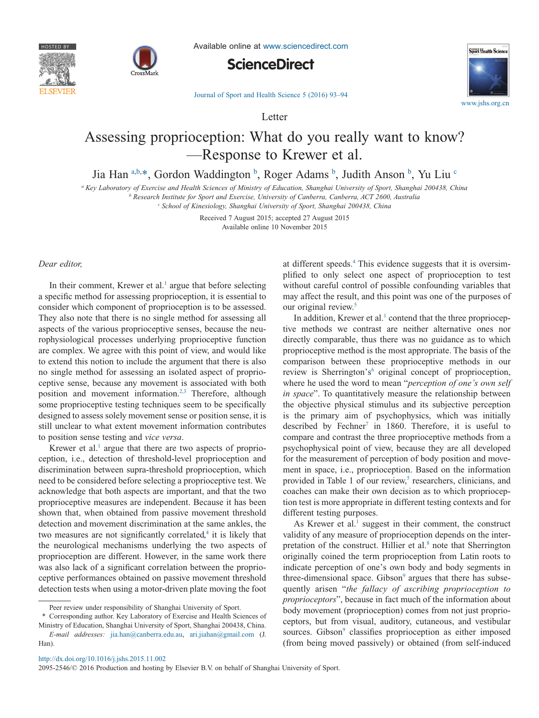



Available online at [www.sciencedirect.com](http://www.sciencedirect.com/science/journal/20952546)





[Journal of Sport and Health Science 5 \(2016\) 93–94](http://dx.doi.org/10.1016/j.jshs.2015.11.002)

Letter

# Assessing proprioception: What do you really want to know? —Response to Krewer et al.

Jia Han [a,](#page-0-0)[b,](#page-0-1)[\\*,](#page-0-2) Gordon Waddington <sup>[b](#page-0-1)</sup>, Roger Adams <sup>b</sup>, Judith Anson <sup>b</sup>, Yu Liu <sup>[c](#page-0-3)</sup>

<span id="page-0-0"></span>*<sup>a</sup> Key Laboratory of Exercise and Health Sciences of Ministry of Education, Shanghai University of Sport, Shanghai 200438, China*

<span id="page-0-1"></span>*<sup>b</sup> Research Institute for Sport and Exercise, University of Canberra, Canberra, ACT 2600, Australia*

<span id="page-0-3"></span>*<sup>c</sup> School of Kinesiology, Shanghai University of Sport, Shanghai 200438, China*

Received 7 August 2015; accepted 27 August 2015 Available online 10 November 2015

### *Dear editor,*

In their comment, Krewer et al.<sup>1</sup> argue that before selecting a specific method for assessing proprioception, it is essential to consider which component of proprioception is to be assessed. They also note that there is no single method for assessing all aspects of the various proprioceptive senses, because the neurophysiological processes underlying proprioceptive function are complex. We agree with this point of view, and would like to extend this notion to include the argument that there is also no single method for assessing an isolated aspect of proprioceptive sense, because any movement is associated with both position and movement information[.2,3](#page-1-1) Therefore, although some proprioceptive testing techniques seem to be specifically designed to assess solely movement sense or position sense, it is still unclear to what extent movement information contributes to position sense testing and *vice versa*.

Krewer et al. $<sup>1</sup>$  argue that there are two aspects of proprio-</sup> ception, i.e., detection of threshold-level proprioception and discrimination between supra-threshold proprioception, which need to be considered before selecting a proprioceptive test. We acknowledge that both aspects are important, and that the two proprioceptive measures are independent. Because it has been shown that, when obtained from passive movement threshold detection and movement discrimination at the same ankles, the two measures are not significantly correlated, $4$  it is likely that the neurological mechanisms underlying the two aspects of proprioception are different. However, in the same work there was also lack of a significant correlation between the proprioceptive performances obtained on passive movement threshold detection tests when using a motor-driven plate moving the foot

at different speeds[.4](#page-1-2) This evidence suggests that it is oversimplified to only select one aspect of proprioception to test without careful control of possible confounding variables that may affect the result, and this point was one of the purposes of our original review.<sup>5</sup>

In addition, Krewer et al.<sup>1</sup> contend that the three proprioceptive methods we contrast are neither alternative ones nor directly comparable, thus there was no guidance as to which proprioceptive method is the most appropriate. The basis of the comparison between these proprioceptive methods in our review is Sherrington's<sup>6</sup> original concept of proprioception, where he used the word to mean "*perception of one's own self in space*". To quantitatively measure the relationship between the objective physical stimulus and its subjective perception is the primary aim of psychophysics, which was initially described by Fechner<sup>7</sup> in 1860. Therefore, it is useful to compare and contrast the three proprioceptive methods from a psychophysical point of view, because they are all developed for the measurement of perception of body position and movement in space, i.e., proprioception. Based on the information provided in Table 1 of our review, $5$  researchers, clinicians, and coaches can make their own decision as to which proprioception test is more appropriate in different testing contexts and for different testing purposes.

As Krewer et al.<sup>1</sup> suggest in their comment, the construct validity of any measure of proprioception depends on the interpretation of the construct. Hillier et al.<sup>8</sup> note that Sherrington originally coined the term proprioception from Latin roots to indicate perception of one's own body and body segments in three-dimensional space. Gibson<sup>9</sup> argues that there has subsequently arisen "*the fallacy of ascribing proprioception to proprioceptors*", because in fact much of the information about body movement (proprioception) comes from not just proprioceptors, but from visual, auditory, cutaneous, and vestibular sources. Gibson<sup>9</sup> classifies proprioception as either imposed (from being moved passively) or obtained (from self-induced

http://dx.doi.org/10.1016/j.jshs.2015.11.002

Peer review under responsibility of Shanghai University of Sport.

<span id="page-0-2"></span><sup>\*</sup> Corresponding author. Key Laboratory of Exercise and Health Sciences of Ministry of Education, Shanghai University of Sport, Shanghai 200438, China.

*E-mail addresses:* [jia.han@canberra.edu.au,](mailto:jia.han@canberra.edu.au) [ari.jiahan@gmail.com](mailto:ari.jiahan@gmail.com) (J. Han).

<sup>2095-2546/© 2016</sup> Production and hosting by Elsevier B.V. on behalf of Shanghai University of Sport.